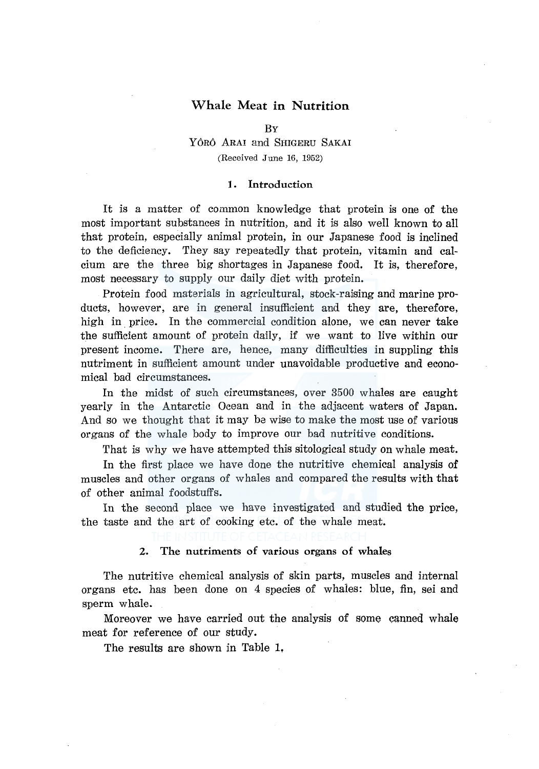# Whale Meat in **Nutrition**

#### BY

# YÔRÔ ARAI and SHIGERU SAKAI (Received June 16, 1952)

#### **1.** Introduction

It is a matter of common knowledge that protein is one of the most important substances in nutrition, and it is also well known to all that protein, especially animal protein, in our Japanese food is inclined to the deficiency. They say repeatedly that protein, vitamin and calcium are the three big shortages in Japanese food. It is, therefore, most necessary to supply our daily diet with protein.

Protein food materials in agricultural, stock-raising and marine products, however, are in general insufficient and they are, therefore, high in price. In the commercial condition alone, we can never take the sufficient amount of protein daily, if we want to live within our present income. There are, hence, many difficulties in suppling this nutriment in sufficient amount under unavoidable productive and economical bad circumstances.

In the midst of such circumstances, over 3500 whales are caught yearly in the Antarctic Ocean and in the adjacent waters of Japan. And so we thought that it may be wise to make the most use of various organs of the whale body to improve our bad nutritive conditions.

That is why we have attempted this sitological study on whale meat.

In the first place we have done the nutritive chemical analysis of muscles and other organs of whales and compared the results with that of other animal foodstuffs.

In the second place we have investigated and studied the price, the taste and the art of cooking etc. of the whale meat.

# 2. The nutriments of various organs of whales

The nutritive chemical analysis of skin parts, muscles and internal organs etc. has been done on 4 species of whales: blue, fin, sei and sperm whale.

Moreover we have carried out the analysis of some canned whale meat for reference of our study.

The results are shown in Table 1,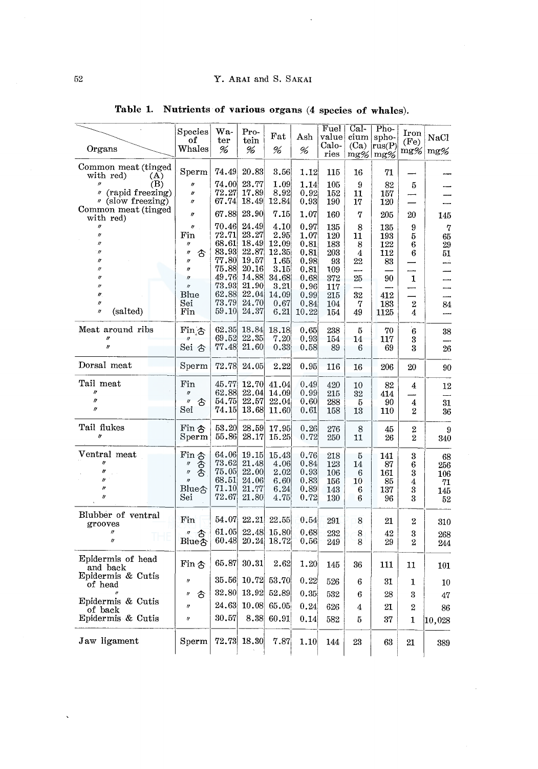$\overline{\mathcal{L}}$ 

|                                         | Species<br>of                          | Wa-<br>ter     | Pro-<br>tein   | $_{\rm{Fat}}$  | $_{\rm Ash}$ | Fuel<br>value | Cal-<br>cium | Pho-<br>spho-        | Iron<br>(F <sub>e</sub> ) | NaCl                 |
|-----------------------------------------|----------------------------------------|----------------|----------------|----------------|--------------|---------------|--------------|----------------------|---------------------------|----------------------|
| Organs                                  | Whales                                 | %              | %              | %              | %            | Calo-<br>ries | (Ca)         | rus(P)<br>$mg\%$ mg% | $mg\%$                    | $mg\%$               |
| Common meat (tinged<br>with red)<br>(A) | Sperm                                  | 74.49          | 20.83          | 3.56           | 1.12         | 115           | 16           | 71                   |                           |                      |
| (B)<br>" (rapid freezing)               | I)<br>$\boldsymbol{\eta}$              | 74.00<br>72.27 | 23.77<br>17.89 | 1.09<br>8.92   | 1.14<br>0.92 | 105<br>152    | 9<br>11      | 82<br>157            | 5                         |                      |
| " (slow freezing)                       | $\theta$                               | 67.74          | 18.49          | 12.84          | 0.93         | 190           | 17           | 120                  |                           |                      |
| Common meat (tinged<br>with red)        | $\theta$                               | 67.88          | 23.90          | 7.15           | 1.07         | 160           | 7            | 205                  | 20                        | 145                  |
| $\boldsymbol{\eta}$                     | n<br>Fin                               | 70.46<br>72.71 | 24.49<br>23,27 | 4.10<br>2.95   | 0.97<br>1.07 | 135<br>120    | 8<br>11      | 135<br>193           | 9<br>5                    | $\overline{7}$<br>65 |
|                                         | IJ                                     | 68.61          | 18,49          | 12.09          | 0.81         | 183           | 8            | 122                  | 6                         | 29                   |
|                                         | ∱<br>$\boldsymbol{\eta}$               | 83.93          | 22.87          | 12.35          | 0.81         | 203           | 4            | 112                  | 6                         | 51                   |
|                                         | n<br>IJ                                | 77.80<br>75.88 | 19.57<br>20.16 | 1.65<br>3.15   | 0.98         | 93            | 22           | 83                   |                           | شد                   |
|                                         | $\boldsymbol{\eta}$                    | 49.76          | 14.88          | 34.68          | 0.81<br>0.68 | 109<br>372    | 25           | 90                   | 1                         |                      |
|                                         | $\eta$                                 | 73.93          | 21.90          | 3.21           | 0.96         | 117           |              |                      |                           |                      |
|                                         | Blue                                   | 62.88          | 22.04          | 14.09          | 0.99         | 215           | 32           | 412                  |                           |                      |
| 11<br>$\boldsymbol{u}$                  | $_{\rm Sei}$                           | 73.79          | 24.70          | 0.67           | 0.84         | 104           | 7            | 183                  | $\boldsymbol{2}$          | 84                   |
| (salted)                                | Fin                                    | 59.10          | 24.37          | 6.21           | 10.22        | 154           | 49           | 1125                 | 4                         | بسب                  |
| Meat around ribs                        | Fin <sub>.</sub> 3                     | 62.35          | 18.84          | 18.18          | 0.65         | 238           | 5            | 70                   | $\overline{6}$            | 38                   |
|                                         |                                        | 69.52          | 22,35          | 7.20           | 0.93         | 154           | 14           | 117                  | 3                         |                      |
| II                                      | Sei <sub>ô</sub>                       | 77.48          | 21.60          | 0.33           | 0.58         | 89            | 6            | 69                   | 3                         | 26                   |
| Dorsal meat                             | Sperm                                  | 72.78          | 24.05          | 2.22           | 0.95         | 116           | 16           | 206                  | 20                        | 90                   |
| Tail meat                               | Fin                                    | 45.77          | 12.70          | 41.04          | 0.49         | 420           | 10           | 82                   | 4                         | 12                   |
|                                         | $\theta$                               | 62.88          | 22.04          | 14.09          | 0.99         | 215           | 32           | 414                  |                           |                      |
| $\eta$<br>$\theta$                      | 含<br>$\boldsymbol{\mathit{II}}$<br>Sei | 54.75<br>74.15 | 22.57<br>13.68 | 22.04<br>11.60 | 0.60<br>0.61 | 288<br>158    | 5<br>13      | 90<br>110            | 4<br>$\overline{2}$       | 31                   |
|                                         |                                        |                |                |                |              |               |              |                      |                           | 36                   |
| Tail flukes<br>$\boldsymbol{''}$        | Fin $\hat{\sigma}$                     | 53.20<br>55.86 | 28.59<br>28.17 | 17.95          | 0.26         | 276           | 8            | 45                   | $\boldsymbol{2}$          | 9                    |
|                                         | S <sub>perm</sub>                      |                |                | 15.25          | 0.72         | 250           | 11           | 26                   | $\overline{2}$            | 340                  |
| Ventral meat                            | Fin 含                                  | 64.06          | 19.15          | 15.43          | 0.76         | 218           | 5            | 141                  | 3                         | 68                   |
|                                         | 杏合                                     | 73.62          | 21.48          | 4.06           | 0.84         | 123           | 14           | 87                   | 6                         | 256                  |
| II<br>$\theta$                          | $\theta$                               | 75.05<br>68.51 | 22.00<br>24.06 | 2.02<br>6.60   | 0.93<br>0.83 | 106           | 6<br>10      | 161                  | 3                         | 106                  |
| $\boldsymbol{\mu}$                      | Blue含                                  | $71.10\,$      | 21.77          | 6.24           | 0.89         | 156<br>143    | 6            | 85<br>137            | 4<br>$\bar{3}$            | 71<br>145            |
| $\theta$                                | Sei                                    | 72.67          | 21.80          | 4.75           | 0.72         | 130           | 6            | 96                   | 3                         | 52                   |
| Blubber of ventral                      |                                        |                |                |                |              |               |              |                      |                           |                      |
| grooves                                 | Fin                                    | 54.07          | 22.21          | 22.55          | 0.54         | 291           | 8            | 21                   | 2                         | $310\,$              |
|                                         |                                        | 61.05          | 22.48          | 15.80          | 0.68         | 232           | 8            | 42                   | 3                         | 268                  |
| $\boldsymbol{\eta}$                     | $B\parallel_{\mathcal{B}} \mathcal{L}$ | 60.48          | 20.24          | 18.72          | 0.56         | 249           | 8            | 29                   | $\overline{2}$            | 244                  |
| Epidermis of head                       |                                        |                |                |                |              |               |              |                      |                           |                      |
| and back                                | Fin 含                                  | 65.87          | 30.31          | 2.62           | 1.20         | 145           | 36           | 111                  | 11                        | 101                  |
| Epidermis & Cutis<br>of head            | $\theta$                               | 35.56          | 10.72          | 53.70          | 0.22         | 526           | 6            | $^{31}$              | 1                         | 10                   |
|                                         | €<br>$^{\prime\prime}$                 | 32.80          | 13.92          | 52.89          | 0.35         | 532           | 6            | 28                   | 3                         | 47                   |
| Epidermis & Cutis<br>of back            | $\boldsymbol{\eta}$                    | 24.63          | 10.08          | 65.05          | 0.24         | 626           | 4            | 21                   | $\overline{2}$            | 86                   |
| Epidermis & Cutis                       | $^{\prime\prime}$                      | 30.57          | 8.38           | 60.91          | 0.14         | 582           | 5            | 37                   | 1                         | $\ket{10,028}$       |
|                                         |                                        |                |                |                |              |               |              |                      |                           |                      |
| Jaw ligament                            | Sperm                                  |                | 72.73  18.30   | 7.87           | 1.10         | 144           | 23           | 63                   | 21                        | 389                  |

Table 1. Nutrients of various organs (4 species of whales).

 $\hat{\mathbf{v}}$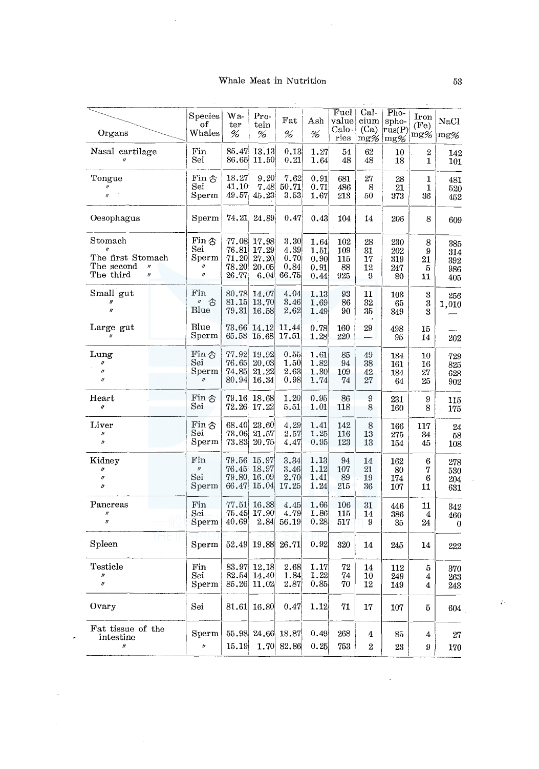# Whale Meat in Nutrition

 $\mathcal{A}$ 

 $\overline{\phantom{a}}$ 

 $\bar{\beta}$ 

|                                                                 | Species<br>оf<br>Whales                      | Wa-<br>ter                       | Pro-<br>tein                     | Fat                           | Ash                          | Fuel<br>value<br>Calo-  | Cal-<br>$_{\rm cium}$<br>(Ca) | $Pho-$<br>spho-<br>$ \hat{\mathrm{rus}}(\mathrm{P}) $ | Iron<br>(F <sub>e</sub> ) | <b>NaCl</b>              |
|-----------------------------------------------------------------|----------------------------------------------|----------------------------------|----------------------------------|-------------------------------|------------------------------|-------------------------|-------------------------------|-------------------------------------------------------|---------------------------|--------------------------|
| Organs                                                          |                                              | %                                | %                                | %                             | %                            | ries                    | $mg\%$                        | $mg\%$                                                | mg%                       | $mg\%$                   |
| Nasal cartilage                                                 | Fin<br>Sei                                   | 85.47<br>86.65                   | 13.13<br>11.50                   | 0.13<br>0.21                  | 1.27<br>1.64                 | 54<br>48                | 62<br>48                      | 10<br>18                                              | $\boldsymbol{2}$<br>1     | 142<br>101               |
| Tongue<br>$\theta$                                              | Fin 含<br>Sei<br>Sperm                        | 18.27<br>41.10<br>49.57          | 9.20<br>7.48<br>45.23            | 7.62<br>50.71<br>3.53         | 0.91<br>0.71                 | 681<br>486              | 27<br>8<br>50                 | 28<br>21                                              | 1<br>1                    | 481<br>520               |
|                                                                 |                                              |                                  |                                  |                               | 1.67                         | 213                     |                               | 373                                                   | 36                        | 452                      |
| Oesophagus                                                      | Sperm                                        | 74.21                            | 24.89                            | 0.47                          | 0.43                         | 104                     | 14                            | 206                                                   | 8                         | 609                      |
| Stomach<br>The first Stomach<br>The second<br>$^{\prime\prime}$ | Fin 含<br>Sei<br>Sperm<br>IJ                  | 77.08<br>76.81<br>71.20<br>78.20 | 17.98<br>17.29<br>27.20<br>20,05 | 3.30<br>4.39<br>0.70<br>0.84  | 1.64<br>1.51<br>0.90<br>0.91 | 102<br>109<br>115<br>88 | 28<br>31<br>17<br>12          | 230<br>202<br>319<br>247                              | 8<br>9<br>21<br>5         | 385<br>314<br>392        |
| The third<br>$\eta$                                             | $\theta$                                     | 26.77                            | 6.04                             | 66.75                         | 0.44                         | 925                     | 9                             | 80                                                    | 11                        | 986<br>405               |
| Small gut<br>$\theta$                                           | Fin<br>$''$ $\uparrow$<br>Blue               | 80.78<br>81.15<br>79.31          | 14.07<br>13.70<br>16.58          | 4.04<br>3.46<br>2.62          | 1.13<br>1.69<br>1.49         | 93<br>86<br>90          | 11<br>32<br>35                | 103<br>65<br>349                                      | 3<br>3<br>3               | 256<br>1,010             |
| Large gut<br>$\prime$                                           | Blue<br>Sperm                                | 73.66<br>65.53                   | 14.12<br>15.68                   | 11.44<br>17.51                | 0.78<br>1.28                 | 160<br>220              | 29                            | 498<br>95                                             | 15<br>14                  | 202                      |
| Lung<br>$\pmb{\eta}$<br>$\boldsymbol{\mu}$<br>$^{\prime\prime}$ | Fin 含<br>Sei<br>Sperm<br>$\boldsymbol{\eta}$ | 77.92<br>76.65<br>74.85<br>80.94 | 19.92<br>20.03<br>21.22<br>16.34 | 0.55<br>1.50<br>2.63<br>0.98  | 1.61<br>1.82<br>1.30<br>1.74 | 85<br>94<br>109<br>74   | 49<br>38<br>42<br>27          | 134<br>161<br>184<br>64                               | 10<br>16<br>27<br>25      | 729<br>825<br>628<br>902 |
| ${\rm Heart}$<br>$^{\prime\prime}$                              | Fin 含<br>Sei                                 | 79.16<br>$72.26\,$               | 18.68<br>17.22                   | 1.20<br>5.51                  | 0.95<br>1.01                 | 86<br>118               | 9<br>8                        | 231<br>160                                            | 9<br>8                    | 115<br>175               |
| Liver<br>$\boldsymbol{\theta}$<br>$\boldsymbol{n}$              | Fin 含<br>$_{\rm Sei}$<br>Sperm               | 68.40<br>$73.06\,$<br>73.83      | 23.60<br>21.57<br>20.75          | 4.29<br>2.57<br>4.47          | 1.41<br>1.25<br>0.95         | 142<br>116<br>123       | 8<br>13<br>13                 | 166<br>275<br>154                                     | 117<br>34<br>45           | 24<br>58<br>$108\,$      |
| Kidney<br>11<br>$^{\prime\prime}$<br>$\boldsymbol{y}$           | Fin<br>$\boldsymbol{\eta}$<br>Sei<br>Sperm   | 79.56<br>76.45<br>79.80<br>66.47 | 15.97<br>18.97<br>16.09<br>15.04 | 3.34<br>3.46<br>2.70<br>17.25 | 1.13<br>1.12<br>1.41<br>1.24 | 94<br>107<br>89<br>215  | 14<br>21<br>19<br>36          | 162<br>80<br>174<br>107                               | 6<br>7<br>6<br>11         | 278<br>530<br>204<br>631 |
| Pancreas<br>11<br>ŋ                                             | Fin<br>Sei<br>Sperm                          | 77.51<br>75.45<br>40.69          | 16.38<br>17.90<br>2.84           | 4.45<br>4.79<br>56.19         | 1.66<br>1.86<br>0.28         | 106<br>115<br>517       | 31<br>14<br>9                 | 446<br>386<br>35                                      | 11<br>4<br>24             | 342<br>460<br>0          |
| Spleen                                                          | Sperm                                        | 52.49                            | 19.88                            | 26.71                         | 0.92                         | 320                     | 14                            | 245                                                   | 14                        | 222                      |
| Testicle<br>II<br>l)                                            | Fin<br>Sei<br>Sperm                          | 82.54<br>85.26                   | 83.97 12.18<br>14.40<br>11.02    | 2.68<br>1.84<br>2.87          | 1.17<br>1.22<br>0.85         | 72<br>$74\,$<br>70      | 14<br>10<br>12                | 112<br>249<br>149                                     | 5<br>4<br>4               | 370<br>263<br>243        |
| Ovary                                                           | Sei                                          | 81.61                            | 16.80                            | 0.47                          | 1.12                         | 71                      | 17                            | 107                                                   | 5                         | 604                      |
| Fat tissue of the<br>intestine<br>lt                            | Sperm<br>$\eta$                              | 55.98<br>15.19                   | 1.70                             | 24.66 18.87<br>82.86          | 0.49<br>0.25                 | 268<br>753              | 4<br>$\overline{2}$           | 85<br>23                                              | 4                         | 27                       |
|                                                                 |                                              |                                  |                                  |                               |                              |                         |                               |                                                       | 9                         | 170                      |

 $\tilde{\mathcal{C}}$ 

÷,

 $\bar{\bar{z}}$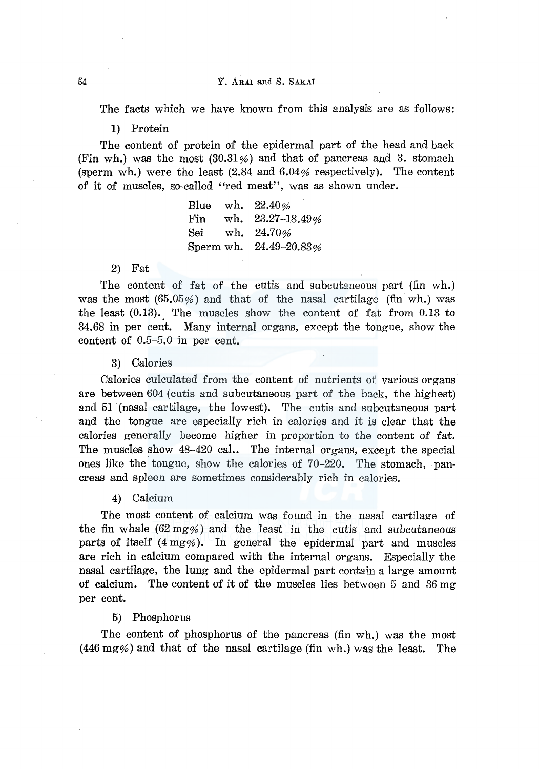Y. ARAI and S. SAKAt

The facts which we have known from this analysis are as follows:

1) Protein

The content of protein of the epidermal part of the head and back (Fin wh.) was the most  $(30.31\%)$  and that of pancreas and 3. stomach (sperm wh.) were the least  $(2.84 \text{ and } 6.04\% \text{ respectively})$ . The content of it of muscles, so-called "red meat", was as shown under.

> Blue wh. 22.40% Fin wh. 23.27-18.49% Sei wh. 24.70% Sperm wh. 24.49-20.83%

#### 2) Fat

The content of fat of the cutis and subcutaneous part (fin wh.) was the most  $(65.05\%)$  and that of the nasal cartilage (fin wh.) was the least  $(0.13)$ . The muscles show the content of fat from 0.13 to 34.68 in per cent. Many internal organs, except the tongue, show the content of 0.5-5.0 in per cent.

#### 3) Calories

Calories culculated from the content of nutrients of various organs are between 604 (cutis and subcutaneous part of the back, the highest) and 51 (nasal cartilage, the lowest). The cutis and subcutaneous part and the tongue are especially rich in calories and it is clear that the calories generally become higher in proportion to the content of fat. The muscles show 48-420 cal.. The internal organs, except the special ones like the tongue, show the calories of 70-220. The stomach, pancreas and spleen are sometimes considerably rich in calories.

# 4) Calcium

The most content of calcium was found in the nasal cartilage of the fin whale  $(62 \text{ mg\%})$  and the least in the cutis and subcutaneous parts of itself (4 mg%). In general the epidermal part and muscles are rich in calcium compared with the internal organs. Especially the nasal cartilage, the lung and the epidermal part contain a large amount of calcium. The content of it of the muscles lies between 5 and 36 mg per cent.

#### 5) Phosphorus

The content of phosphorus of the pancreas (fin wh.) was the most (446 mg%) and that of the nasal cartilage (fin wh.) was the least. The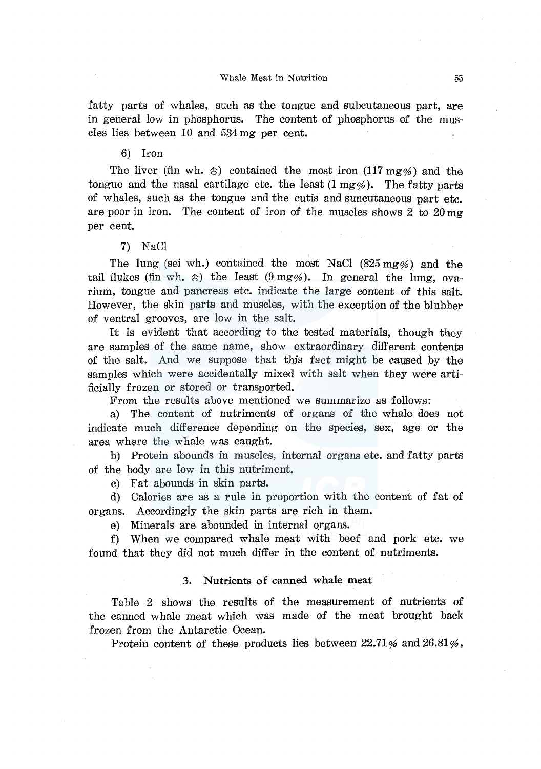fatty parts of whales, such as the tongue and subcutaneous part, are in general low in phosphorus. The content of phosphorus of the muscles lies between 10 and 534 mg per cent.

6) Iron

The liver (fin wh.  $\circ$ ) contained the most iron (117 mg%) and the tongue and the nasal cartilage etc. the least  $(1 \text{ mg\%})$ . The fatty parts of whales, such as the tongue and the cutis and suncutaneous part etc. are poor in iron. The content of iron of the muscles shows  $2 \text{ to } 20 \text{ mg}$ per cent.

#### 7) NaCl

The lung (sei wh.) contained the most NaCl (825 mg%) and the tail flukes (fin wh.  $\circ$ ) the least (9 mg%). In general the lung, ovarium, tongue and pancreas etc. indicate the large content of this salt. However, the skin parts and muscles, with the exception of the blubber of ventral grooves, are low in the salt.

It is evident that according to the tested materials, though they are samples of the same name, show extraordinary different contents of the salt. And we suppose that this fact might be caused by the samples which were accidentally mixed with salt when they were artificially frozen or stored or transported.

From the results above mentioned we summarize as follows:

a) The content of nutriments of organs of the whale does not indicate much difference depending on the species, sex, age or the area where the whale was caught.

b) Protein abounds in muscles, internal organs etc. and fatty parts of the body are low in this nutriment.

c) Fat abounds in skin parts.

d) Calories are as a rule in proportion with the content of fat of organs. Accordingly the skin parts are rich in them.

e) Minerals are abounded in internal organs.

f) When we compared whale meat with beef and pork etc. we found that they did not much differ in the content of nutriments.

#### 3. Nutrients of canned whale meat

Table 2 shows the results of the measurement of nutrients of the canned whale meat which was made of the meat brought back frozen from the Antarctic Ocean.

Protein content of these products lies between  $22.71\%$  and  $26.81\%$ ,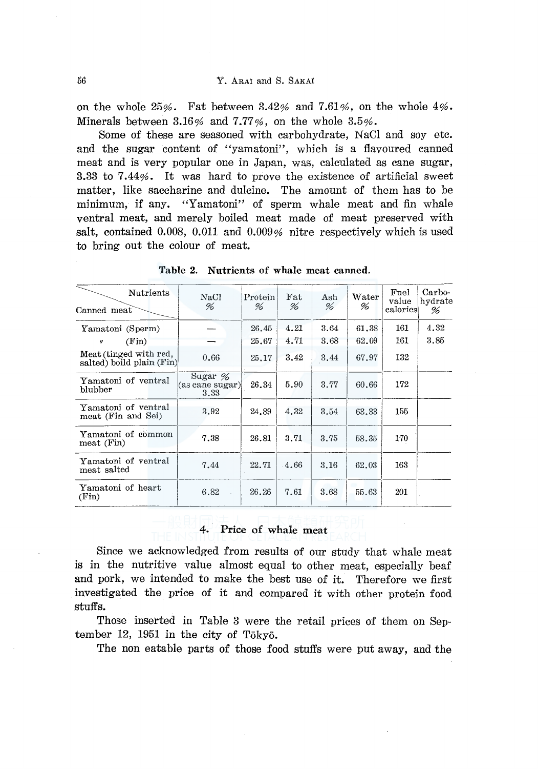on the whole  $25\%$ . Fat between  $3.42\%$  and  $7.61\%$ , on the whole  $4\%$ . Minerals between  $3.16\%$  and  $7.77\%$ , on the whole  $3.5\%$ .

Some of these are seasoned with carbohydrate, NaCl and soy etc. and the sugar content of "yamatoni'', which is a flavoured canned meat and is very popular one in Japan, was, calculated as cane sugar, 3.33 to 7.44%. It was hard to prove the existence of artificial sweet matter, like saccharine and dulcine. The amount of them has to be minimum, if any. "Yamatoni" of sperm whale meat and fin whale ventral meat, and merely boiled meat made of meat preserved with salt, contained 0.008, 0.011 and 0.009% nitre respectively which is used to bring out the colour of meat.

| to bring out the colour of meat.                    |                                       |                                 |                    |          |                             |                                 |                        |
|-----------------------------------------------------|---------------------------------------|---------------------------------|--------------------|----------|-----------------------------|---------------------------------|------------------------|
|                                                     | Table 2.                              | Nutrients of whale meat canned. |                    |          |                             |                                 |                        |
| <b>Nutrients</b><br>Canned meat                     | NaCl<br>%                             | Protein<br>%                    | $_{\rm{Fat}}$<br>% | Ash<br>% | $\operatorname{Water}$<br>% | $\rm Fuel$<br>value<br>calories | Carbo-<br>hydrate<br>% |
| Yamatoni (Sperm)                                    |                                       | 26.45                           | 4.21               | 3.64     | 61.38                       | 161                             | 4.32                   |
| (Fin)<br>$\boldsymbol{\eta}$                        |                                       | 25.67                           | 4.71               | 3.68     | 62.09                       | 161                             | 3.85                   |
| Meat (tinged with red,<br>salted) boild plain (Fin) | 0.66                                  | 25.17                           | 3.42               | 3,44     | 67.97                       | 132                             |                        |
| Yamatoni of ventral<br>blubber                      | Sugar $\%$<br>(as cane sugar)<br>3.33 | 26.34                           | 5.90               | 3.77     | 60.66                       | 172                             |                        |
| Yamatoni of ventral<br>meat (Fin and Sei)           | 3.92                                  | 24.89                           | 4.32               | 3.54     | 63.33                       | 155                             |                        |
| Yamatoni of common<br>meat (Fin)                    | 7.38                                  | 26.81                           | 3.71               | 3.75     | 58.35                       | 170                             |                        |
| Yamatoni of ventral<br>meat salted                  | 7.44                                  | 22.71                           | $-4.66$            | 3.16     | 62.03                       | 163                             |                        |
| Yamatoni of heart<br>(Fin)                          | 6.82                                  | 26.26                           | 7.61               | 3.68     | 55.63                       | 201                             |                        |

Table 2. Nutrients of whale meat canned.

## 4. Price of whale meat

Since we acknowledged from results of our study that whale meat is in the nutritive value almost equal to other meat, especially beaf and pork, we intended to make the best use of it. Therefore we first investigated the price of it and compared it with other protein food stuffs.

Those inserted in Table 3 were the retail prices of them on September 12, 1951 in the city of Tokyo.

The non eatable parts of those food stuffs were put away, and the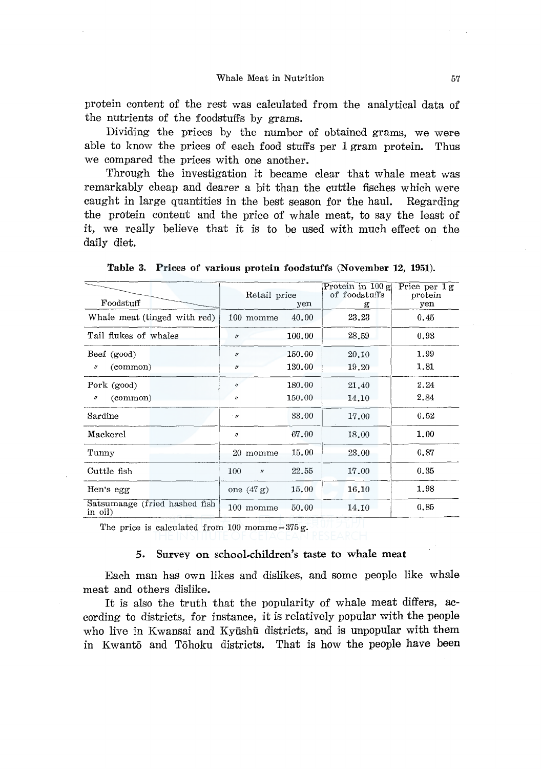protein content of the rest was calculated from the analytical data of the nutrients of the foodstuffs by grams.

Dividing the prices by the number of obtained grams, we were able to know the prices of each food stuffs per 1 gram protein. Thus we compared the prices with one another.

Through the investigation it became clear that whale meat was remarkably cheap and dearer a bit than the cuttle fisches which were caught in large quantities in the best season for the haul. Regarding the protein content and the price of whale meat, to say the least of it, we really believe that it is to be used with much effect on the daily diet.

| Foodstuff                                | Retail price<br>yen      |        | Protein in $100 \text{ g}$<br>of foodstuffs<br>g | Price per $1g$<br>protein<br>yen |  |
|------------------------------------------|--------------------------|--------|--------------------------------------------------|----------------------------------|--|
|                                          |                          |        |                                                  |                                  |  |
| Whale meat (tinged with red)             | 100 momme                | 40.00  | 23.23                                            | 0.45                             |  |
| Tail flukes of whales                    | $\eta$                   | 100.00 | 28.59                                            | 0.93                             |  |
| Beef (good)                              | $\eta$                   | 150.00 | 20.10                                            | 1.99                             |  |
| (common)<br>$^{\prime\prime}$            | $\prime$                 | 130.00 | 19.20                                            | 1.81                             |  |
| Pork (good)                              | $\eta$                   | 180.00 | 21,40                                            | 2.24                             |  |
| (common)<br>n                            | 11                       | 150.00 | 14.10                                            | 2.84                             |  |
| Sardine                                  | $\cdot$ H                | 33.00  | 17.00                                            | 0.52                             |  |
| Mackerel                                 | $\boldsymbol{\eta}$      | 67.00  | 18.00                                            | 1.00                             |  |
| Tunny                                    | 20 momme                 | 15.00  | 23.00                                            | 0.87                             |  |
| Cuttle fish                              | 100<br>$^{\prime\prime}$ | 22.55  | 17.00                                            | 0.35                             |  |
| Hen's egg                                | one $(47 g)$             | 15.00  | 16.10                                            | 1,98                             |  |
| Satsumaage (fried hashed fish<br>in oil) | 100 momme                | 50.00  | 14.10                                            | 0.85                             |  |

Table 3. Prices of various protein foodstuffs (November 12, 1951).

The price is calculated from 100 momme =  $375 g$ .

#### 5. Survey on school-children's taste to whale meat

Each man has own likes and dislikes, and some people like whale meat and others dislike.

It is also the truth that the popularity of whale meat differs, according to districts, for instance, it is relatively popular with the people who live in Kwansai and Kyūshū districts, and is unpopular with them in Kwanto and Tohoku districts. That is how the people have been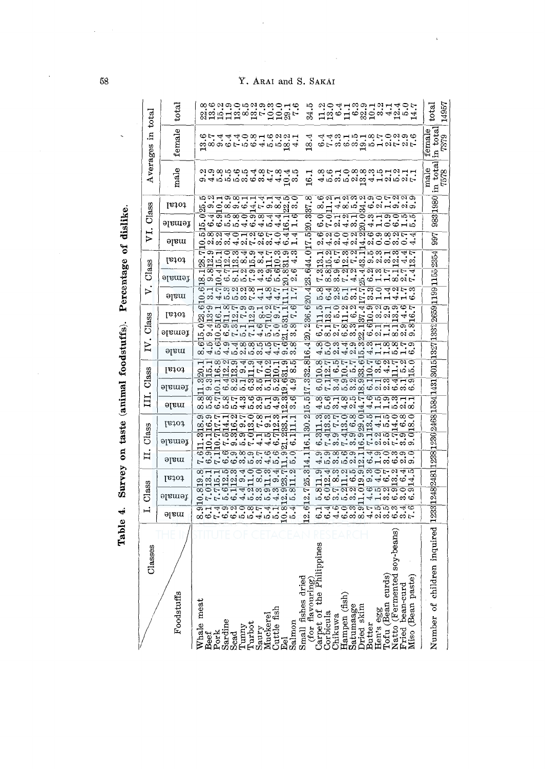| total    | $_{\rm total}$ | 34.5                                                                                                                                                                                                                                                                                                                                                                                                                    | $_{\rm tota}$                                                              |
|----------|----------------|-------------------------------------------------------------------------------------------------------------------------------------------------------------------------------------------------------------------------------------------------------------------------------------------------------------------------------------------------------------------------------------------------------------------------|----------------------------------------------------------------------------|
| R.       | female         | g 809610945984<br>18.4                                                                                                                                                                                                                                                                                                                                                                                                  | in total<br>female                                                         |
| Averages | male           | dina mandidiri din din 1986<br>Mindidiri din 1987<br>16.1                                                                                                                                                                                                                                                                                                                                                               | $\left  \frac{\text{in total}}{\text{7578}} \right $<br>male               |
|          | total          | matamitiatano<br>condicional cristal<br>$^{\infty}$<br><sub>ယ</sub> ောဠ်ထဲတယ္–ြုံ႕တယ္လိုယ္<br>22                                                                                                                                                                                                                                                                                                                        | 9831980                                                                    |
| Class    | female         | $\frac{3}{20}$ .<br>cannocomaddol<br>oonanomnomno<br>Condinginomnom                                                                                                                                                                                                                                                                                                                                                     |                                                                            |
| ΣĻ       | əlam           | <u>ळञ्चठनवडारठवच</u><br>10<br>ढलठठललढकललम्<br>लंगलंगलंगलंगटकं<br>ю<br>17.                                                                                                                                                                                                                                                                                                                                               | 997                                                                        |
|          | total          | Ξ<br>s<br>21 novembre - 1923<br>20 novembre - 1924<br>7<br>$\frac{3}{4}$<br>ଞ୍ଜ                                                                                                                                                                                                                                                                                                                                         |                                                                            |
| Class    | female         | 23.644<br><u>লেळকনমৰমালচনচৰ</u><br>$\overline{1}$ 80 $\overline{4}$ 6 $\overline{1}$ 81 $\overline{1}$ 81 $\overline{8}$ 80 $\overline{8}$ 80 $\overline{9}$ 80 $\overline{9}$<br>Log of the contraction of the contraction of the contraction of the contraction of the contraction of the contr<br>The contraction of the contraction of the contraction of the contraction of the contraction of the contractio<br>2 | 1238 1248 2481 1238 1230 2468 1584 1431 3015 1327 1332 2659 1199 1155 2354 |
| ⊳        | əlam           | cadronom-additional<br>る する ーーー さいりょうしょう しゅうしょう しゅうしょう しょうしょう<br>20.4                                                                                                                                                                                                                                                                                                                                                   |                                                                            |
|          | total          | <b>SHOMMADNOWG</b><br>sonnaran artis<br>Santara agant<br>.236.6<br>$\frac{1}{12}$ $\frac{1}{12}$ $\frac{1}{5}$ $\frac{1}{20}$ $\frac{1}{20}$ $\frac{1}{20}$ $\frac{1}{20}$ $\frac{1}{20}$ $\frac{1}{20}$ $\frac{1}{20}$ $\frac{1}{20}$ $\frac{1}{20}$ $\frac{1}{20}$ $\frac{1}{20}$ $\frac{1}{20}$ $\frac{1}{20}$ $\frac{1}{20}$ $\frac{1}{20}$ $\frac{1}{20}$                                                          |                                                                            |
| Class    | əlaməì         | ã.<br>$\frac{\phi \omega \alpha \phi \omega \omega \pi \omega}{\phi \omega \omega \pi \omega \omega}$                                                                                                                                                                                                                                                                                                                   |                                                                            |
| P        | əlam           | cacodococacoco<br>soo sa da sa sa da sa ca<br>Santa da da da da da da<br>4<br>ை அந்திய விரை அத்திலை<br>ల                                                                                                                                                                                                                                                                                                                |                                                                            |
|          | 18101          | ∞<br><u>sa</u>                                                                                                                                                                                                                                                                                                                                                                                                          |                                                                            |
| Class    | female         | $\overline{\circ}$ <sub>24</sub> $\circ$ <sub>229</sub> $\overline{\circ}$ <sub>24</sub> $\overline{\circ}$ <sub>24</sub> $\overline{\circ}$<br><u>wwidadio cha c</u><br>಼                                                                                                                                                                                                                                              |                                                                            |
| $\Xi$    | maje           | 517.<br>ကြ<br>တွေ့ပြင်းလင်းမိုက်တွေ့မှ ဖွဲ့သို့<br>တွေ့ပြင်းလိုက်တွင် တွေ့ပြင်<br>801857059311<br>453424411028<br>$\frac{15}{10}$                                                                                                                                                                                                                                                                                       |                                                                            |
|          | total          | 30.2 <br>duraduradur<br>sina duradura<br>sorranco sangri                                                                                                                                                                                                                                                                                                                                                                |                                                                            |
| Class    | female         | लन्द्रिकेकडूनकर्द्धिः<br>मन्दर्भकर्ण्यन् अपि<br>16.1<br>sign dia change dia change<br>Sign dia change dia change                                                                                                                                                                                                                                                                                                        |                                                                            |
| Ħ.       | əjam           | cornocworococo<br>Cornocword<br>@@@@@#4@@@@@                                                                                                                                                                                                                                                                                                                                                                            |                                                                            |
|          | 16101          | .314.<br>ळनन एक बन्नुक बन्धि<br><u>मण्डल ये जुलै न लक्ष्य</u><br>्विळ प्रिकेट्टर्यू<br>कर्नुलेखक वे बर्टिया                                                                                                                                                                                                                                                                                                             |                                                                            |
| C1ass    | female         | 25<br>ଚ୍ଚ୍ଚ୍ୟୁ ସ୍କୁଷ୍ଟ ବ୍ୟାସ୍ଥିତ କୁ<br>cerce de que a que<br>Cerce de que a que<br>7.<br>Μį                                                                                                                                                                                                                                                                                                                             |                                                                            |
| Ë        | əlsm           | ۊ<br><b>AACOWOFFROWAR</b><br>HAOMOOD-4H004<br>ை மட்மும் மங்கள் மற்ற<br>စစ်ခစ်တယ်ခံလက်တောင်<br>$\mathbf{c}$                                                                                                                                                                                                                                                                                                              |                                                                            |
|          |                |                                                                                                                                                                                                                                                                                                                                                                                                                         |                                                                            |
| asses    |                | $y$ -beans                                                                                                                                                                                                                                                                                                                                                                                                              | inquired                                                                   |
| õ        |                | Ď                                                                                                                                                                                                                                                                                                                                                                                                                       |                                                                            |
|          |                |                                                                                                                                                                                                                                                                                                                                                                                                                         |                                                                            |
|          |                |                                                                                                                                                                                                                                                                                                                                                                                                                         |                                                                            |
|          | Foodstuffs     |                                                                                                                                                                                                                                                                                                                                                                                                                         |                                                                            |
|          |                | Small fishes dried<br>(for flavouring)<br>Carpet of the Phili<br>Corbicula<br>Corbicula<br>Hampen (fish)<br>Hampage<br>Dried skim<br>Hen's egg<br>Hen's eggan curds)<br>Natto (Fermented skim<br>Natto (Fermented skim)<br>Nisto bean-curd<br>Niso (Bean<br>Whale meat<br>Saury<br>Muckerel<br>Cuttle fish<br>Eel<br>Salmon<br>Sardine<br>$Tunny$<br>$Turbot$<br>Beef<br>Pork<br>Scad                                   | Number of children                                                         |
|          |                |                                                                                                                                                                                                                                                                                                                                                                                                                         |                                                                            |

Table 4. Survey on taste (animal foodstuffs). Percentage of dislike. Table 4. Survey on taste (animal foodstuffs). Percentage of dislike.

c,-., 00

# ARAI and S. SAKAI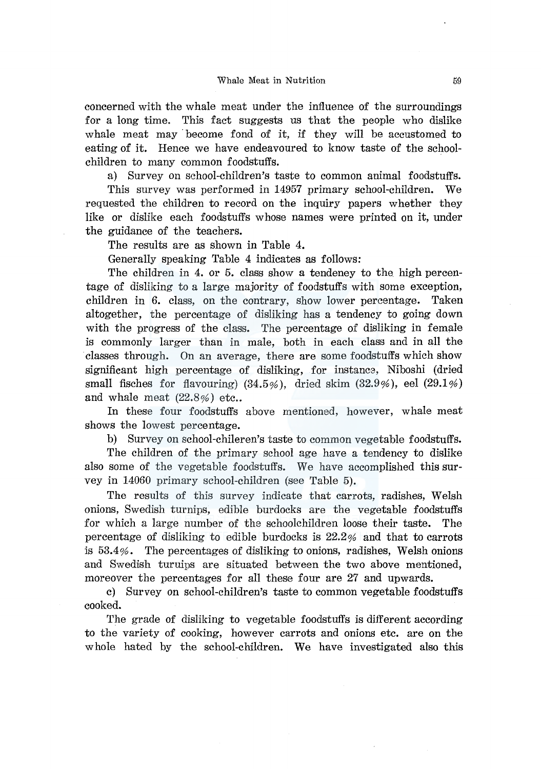concerned with the whale meat under the influence of the surroundings for a long time. This fact suggests us that the people who dislike whale meat may become fond of it, if they will be accustomed to eating of it. Hence we have endeavoured to know taste of the schoolchildren to many common foodstuffs.

a) Survey on school-children's taste to common animal foodstuffs.

This survey was performed in 14957 primary school-children. We requested the children to record on the inquiry papers whether they like or dislike each foodstuffs whose names were printed on it, under the guidance of the teachers.

The results are as shown in Table 4.

Generally speaking Table 4 indicates as follows:

The children in 4. or 5. class show a tendeney to the high percentage of disliking to a large majority of foodstuffs with some exception, children in 6. class, on the contrary, show lower percentage. Taken altogether, the percentage of disliking has a tendency to going down with the progress of the class. The percentage of disliking in female is commonly larger than in male, both in each class and in all the classes through. On an average, there are some foodstuffs which show significant high percentage of disliking, for instancs, Niboshi (dried small fisches for flavouring)  $(34.5\%)$ , dried skim  $(32.9\%)$ , eel  $(29.1\%)$ and whale meat  $(22.8%)$  etc..

In these four foodstuffs above mentioned, however, whale meat shows the lowest percentage.

b) Survey on school-chileren's taste to common vegetable foodstuffs.

The children of the primary school age have a tendency to dislike also some of the vegetable foodstuffs. We have accomplished this survey in 14060 primary school-children (see Table 5).

The results of this survey indicate that carrots, radishes, Welsh onions, Swedish turnips, edible burdocks are the vegetable foodstuffs for which a large number of the schoolchildren loose their taste. The percentage of disliking to edible burdocks is 22.2% and that to carrots is  $53.4\%$ . The percentages of disliking to onions, radishes, Welsh onions and Swedish turuips are situated between the two above mentioned, moreover the percentages for all these four are 27 and upwards.

c) Survey on school-children's taste to common vegetable foodstuffs cooked.

The grade of disliking to vegetable foodstuffs is different according to the variety of cooking, however carrots and onions etc. are on the whole hated by the school-children. We have investigated also this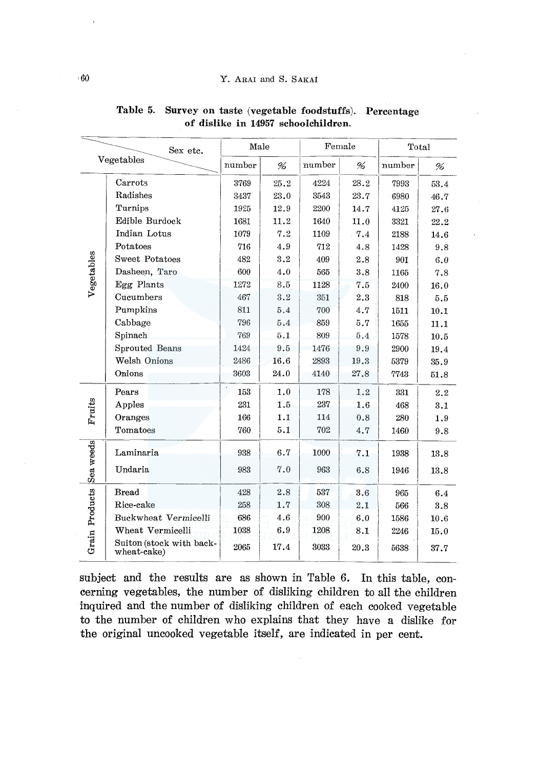| Sex etc.       |                                         |        | Female<br>Male |        |      | Total  |          |  |
|----------------|-----------------------------------------|--------|----------------|--------|------|--------|----------|--|
|                | Vegetables                              | number | %              | number | %    | number | %        |  |
|                | Carrots                                 | 3769   | 25.2           | 4224   | 28.2 | 7993   | 53.4     |  |
|                | Radishes                                | 3437   | 23.0           | 3543   | 23.7 | 6980   | 46.7     |  |
|                | Turnips                                 | 1925   | 12.9           | 2200   | 14.7 | 4125   | 27.6     |  |
|                | Edible Burdock                          | 1681   | 11.2           | 1640   | 11.0 | 3321   | 22.2     |  |
|                | Indian Lotus                            | 1079   | 7.2            | 1109   | .7.4 | 2188   | 14.6     |  |
|                | Potatoes                                | 716    | 4.9            | 712    | 4.8  | 1428   | 9.8      |  |
|                | Sweet Potatoes                          | 482    | 3.2            | 409    | 2.8  | 901    | 6.0      |  |
|                | Dasheen, Taro                           | 600    | 4.0            | 565    | 3.8  | 1165   | 7.8      |  |
| Vegetables     | Egg Plants                              | 1272   | 8.5            | 1128   | 7.5  | 2400   | 16.0     |  |
|                | Cucumbers                               | 467    | 3.2            | 351    | 2.3  | 818    | 5.5      |  |
|                | Pumpkins                                | 811    | 5.4            | 700    | 4.7  | 1511   | $10.1\,$ |  |
|                | Cabbage                                 | 796    | 5.4            | 859    | 5.7  | 1655   | 11.1     |  |
|                | Spinach                                 | 769    | 5.1            | 809    | 5.4  | 1578   | 10.5     |  |
|                | Sprouted Beans                          | 1424   | 9.5            | 1476   | 9.9  | 2900   | 19.4     |  |
|                | Welsh Onions                            | 2486   | 16.6           | 2893   | 19.3 | 5379   | 35.9     |  |
|                | Onions                                  | 3603   | 24.0           | 4140   | 27.8 | 7743   | 51.8     |  |
|                | Pears                                   | 153    | 1.0            | 178    | 1.2  | 331    | 2.2      |  |
| Fruits         | Apples                                  | 231    | 1.5            | 237    | 1.6  | 468    | 3.1      |  |
|                | Oranges                                 | 166    | 1.1            | 114    | 0.8  | 280    | 1.9      |  |
|                | Tomatoes                                | 760    | 5.1            | 702    | 4.7  | 1460   | 9.8      |  |
|                | Laminaria                               | 938    | 6.7            | 1000   | 7.1  | 1938   | 13.8     |  |
| Sea weeds      | Undaria                                 | 983    | 7.0            | 963    | 6.8  | 1946   | 13.8     |  |
|                | <b>Bread</b>                            | 428    | 2.8            | 537    | 3.6  | 965    | 6.4      |  |
|                | Rice-cake                               | 258    | 1.7            | 308    | 2.1  | 566    | 3.8      |  |
|                | Buckwheat Vermicelli                    | 686    | 4.6            | 900    | 6.0  | 1586   | 10.6     |  |
|                | Wheat Vermicelli                        | 1038   | 6.9            | 1208   | 8.1  | 2246   | 15.0     |  |
| Grain Products | Suiton (stock with back-<br>wheat-cake) | 2065   | 17.4           | 3033   | 20.3 | 5638   | 37.7     |  |

Table 5. Survey on taste (vegetable foodstuffs). Percentage of dislike in 14957 schoolchildren.

subject and the results are as shown in Table 6. In this table, concerning vegetables, the number of disliking children to all the children inquired and the number of disliking children of each cooked vegetable to the number of children who explains that they have a dislike for the original uncooked vegetable itself, are indicated in per cent.

 $=$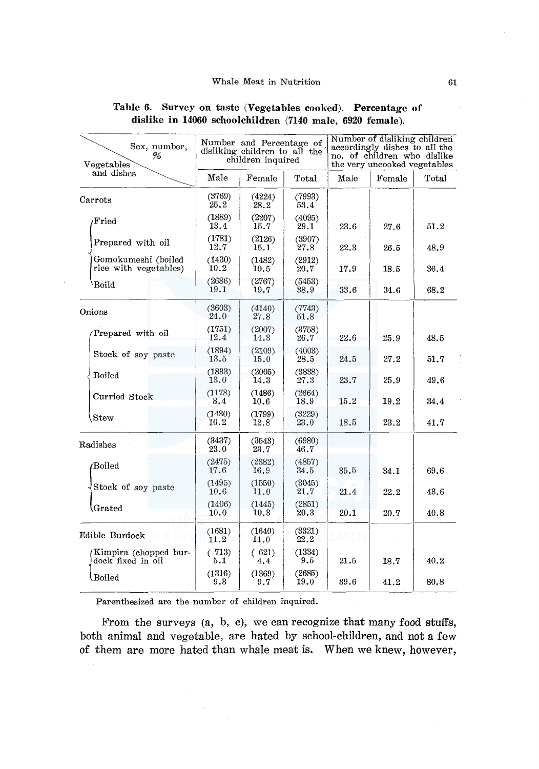| Sex, number,<br>%<br>Vegetables              |                | Number and Percentage of<br>disliking children to all the<br>children inquired |                |      | Number of disliking children<br>accordingly dishes to all the<br>no. of children who dislike<br>the very uncooked vegetables |       |  |  |
|----------------------------------------------|----------------|--------------------------------------------------------------------------------|----------------|------|------------------------------------------------------------------------------------------------------------------------------|-------|--|--|
| and dishes                                   | Male           | Female                                                                         | Total          | Male | Female                                                                                                                       | Total |  |  |
| Carrots                                      | (3769)<br>25.2 | (4224)<br>28.2                                                                 | (7993)<br>53.4 |      |                                                                                                                              |       |  |  |
| $\rm Fried$                                  | (1889)<br>13.4 | (2207)<br>15.7                                                                 | (4095)<br>29.1 | 23.6 | 27.6                                                                                                                         | 51.2  |  |  |
| Prepared with oil                            | (1781)<br>12.7 | (2126)<br>15.1                                                                 | (3907)<br>27.8 | 22.3 | 26.5                                                                                                                         | 48.9  |  |  |
| Gomokumeshi (boiled<br>rice with vegetables) | (1430)<br>10.2 | (1482)<br>10.5                                                                 | (2912)<br>20.7 | 17.9 | 18.5                                                                                                                         | 36.4  |  |  |
| Boild                                        | (2686)<br>19.1 | (2767)<br>(5453)<br>38.9<br>19.7                                               |                | 33.6 | 34.6                                                                                                                         | 68.2  |  |  |
| Onions                                       | (3603)<br>24.0 | (4140)<br>27.8                                                                 | (7743)<br>51.8 |      |                                                                                                                              |       |  |  |
| Prepared with oil                            | (1751)<br>12.4 | (2007)<br>14.3                                                                 | (3758)<br>26.7 | 22.6 | 25.9                                                                                                                         | 48.5  |  |  |
| Stock of soy paste                           | (1894)<br>13.5 | (2109)<br>15.0                                                                 | (4003)<br>28.5 | 24.5 | 27.2                                                                                                                         | 51.7  |  |  |
| <b>Boiled</b>                                | (1833)<br>13.0 | (2005)<br>14.3                                                                 | (3838)<br>27.3 | 23.7 | 25.9                                                                                                                         | 49.6  |  |  |
| Curried Stock                                | (1178)<br>8.4  | (1486)<br>10.6                                                                 | (2664)<br>18.9 | 15.2 | 19.2                                                                                                                         | 34.4  |  |  |
| Stew                                         | (1430)<br>10.2 | (1799)<br>12.8                                                                 | (3229)<br>23.0 | 18.5 | 23.2                                                                                                                         | 41.7  |  |  |
| Radishes                                     | (3437)<br>23.0 | (3543)<br>23.7                                                                 | (6980)<br>46.7 |      |                                                                                                                              |       |  |  |
| Boiled                                       | (2475)<br>17.6 | (2382)<br>16.9                                                                 | (4857)<br>34.5 | 35.5 | 34.1                                                                                                                         | 69.6  |  |  |
| Stock of soy paste                           | (1495)<br>10.6 | (1550)<br>11.0                                                                 | (3045)<br>21.7 | 21.4 | 22.2                                                                                                                         | 43.6  |  |  |
| $\operatorname{Grated}$                      | (1406)<br>10.0 | (1445)<br>10.3                                                                 | (2851)<br>20.3 | 20.1 | 20.7                                                                                                                         | 40.8  |  |  |
| Edible Burdock                               | (1681)<br>11.2 | (1640)<br>11.0                                                                 | (3321)<br>22.2 |      |                                                                                                                              |       |  |  |
| Kimpira (chopped bur-<br>dock fixed in oil   | (713)<br>5.1   | (621)<br>4.4                                                                   | (1334)<br>9.5  | 21.5 | 18.7                                                                                                                         | 40.2  |  |  |
| Boiled                                       | (1316)<br>9.3  | (1369)<br>9.7                                                                  | (2685)<br>19.0 | 39.6 | 41.2                                                                                                                         | 80.8  |  |  |

# Table 6. Survey on taste (Vegetables cooked). Percentage of dislike in 14060 schoolchildren (7140 male, 6920 female).

Parenthesized are the number of children inquired.

 $\sim$ 

l,

From the surveys (a, b, c), we can recognize that many food stuffs, both animal and vegetable, are hated by school-children, and not a few of them are more hated than whale meat is. When we knew, however,

 $\sim$ 

 $\sim$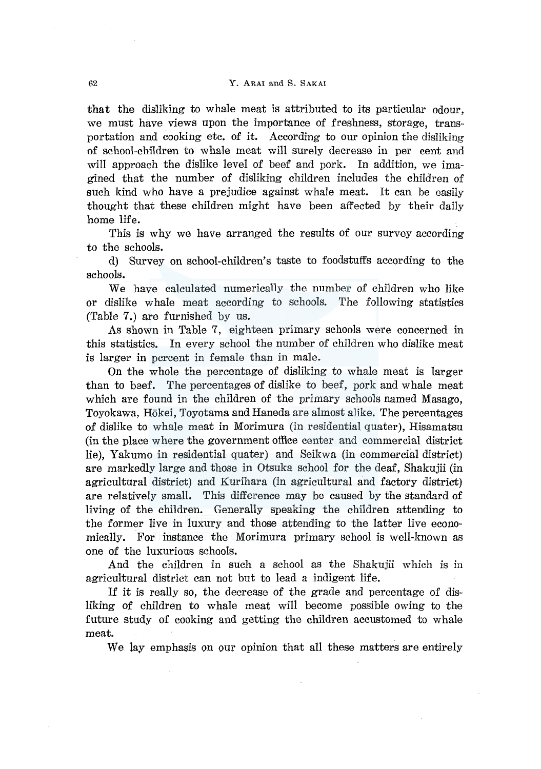that the disliking to whale meat is attributed to its particular odour, we must have views upon the importance of freshness, storage, transportation and cooking etc. of it. According to our opinion the disliking of school-children to whale meat will surely decrease in per cent and will approach the dislike level of beef and pork. In addition, we imagined that the number of disliking children includes the children of such kind who have a prejudice against whale meat. It can be easily thought that these children might have been affected by their daily home life.

This is why we have arranged the results of our survey according to the schools.

d) Survey on school-children's taste to foodstuffs according to the schools.

We have calculated numerically the number of children who like or dislike whale meat according to schools. The following statistics (Table 7.) are furnished by us.

As shown in Table 7, eighteen primary schools were concerned in this statistics. In every school the number of children who dislike meat is larger in percent in female than in male.

On the whole the percentage of disliking to whale meat is larger than to beef. The percentages of dislike to beef, pork and whale meat which are found in the children of the primary schools named Masago, Toyokawa, Hokei, Toyotama and Haneda are almost alike. The percentages of dislike to whale meat in Morimura (in residential quater), Hisamatsu (in the place where the government office center and commercial district lie), Yakumo in residential quater) and Seikwa (in commercial district) are markedly large and those in Otsuka school for the deaf, Shakujii (in agricultural district) and Kurihara (in agricultural and factory district) are relatively small. This difference may be caused by the standard of living of the children. Generally speaking the children attending to the former live in luxury and those attending to the latter live economically. For instance the Morimura primary school is well-known as one of the luxurious schools.

And the children in such a school as the Shakujii which is in agricultural district can not but to lead a indigent life.

If it is really so, the decrease of the grade and percentage of disliking of children to whale meat will become possible owing to the future study of cooking and getting the children accustomed to whale meat.

We lay emphasis on our opinion that all these matters are entirely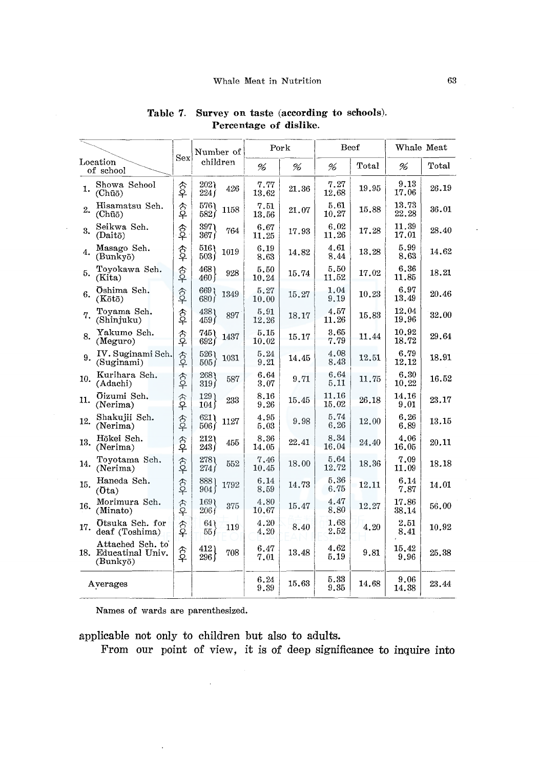|     |                                                      |                    |                       |      | Pork              | Beef      |                    |       | Whale Meat         |       |
|-----|------------------------------------------------------|--------------------|-----------------------|------|-------------------|-----------|--------------------|-------|--------------------|-------|
|     | Location                                             | Sex                | Number of<br>children |      | %                 | %         | %                  | Total | %                  | Total |
|     | of school                                            |                    |                       |      |                   |           |                    |       |                    |       |
| 1.  | Showa School<br>(Chūō)                               | 含<br>우             | 202)<br>224f          | 426  | 7.77<br>$13.62\,$ | $21.36\,$ | 7.27<br>12.68      | 19.95 | 9.13<br>17.06      | 26.19 |
| 2.  | Hisamatsu Sch.<br>(Chūō)                             | <b>今</b>           | 576)<br>582)          | 1158 | 7.51<br>$13.56\,$ | 21.07     | 5.61<br>10.27      | 15.88 | 13.73<br>22.28     | 36.01 |
| 3.  | Seikwa Sch.<br>(Daitō)                               | \$                 | 397<br>367 (          | 764  | 6.67<br>11.25     | 17.93     | 6.02<br>11.26      | 17.28 | 11.39<br>17.01     | 28.40 |
| 4.  | Masago Sch.<br>(Bunkyō)                              | $\hat{\mathbb{S}}$ | 516)<br>503f          | 1019 | 6.19<br>8.63      | 14.82     | 4.61<br>8.44       | 13.28 | 5.99<br>8.63       | 14.62 |
| 5.  | Toyokawa Sch.<br>(Kita)                              | \$                 | 468)<br>460 f         | 928  | 5.50<br>10.24     | 15.74     | 5.50<br>11.52      | 17.02 | 6.36<br>11.85      | 18.21 |
| 6.  | Oshima Sch.<br>$(K\bar{o}t\bar{o})$                  | 含                  | 669)<br>680 i         | 1349 | 5.27<br>10.00     | 15,27     | 1.04<br>9.19       | 10.23 | 6.97<br>13.49      | 20.46 |
| 7.  | Toyama Sch.<br>(Shinjuku)                            | \$                 | 4381<br>459 (         | 897  | 5.91<br>12.26     | 18.17     | 4.57<br>11.26      | 15.83 | 12.04<br>19.96     | 32.00 |
| 8.  | Yakumo Sch.<br>(Meguro)                              | 含                  | 745)<br>6921          | 1437 | 5.15<br>10.02     | 15.17     | 3.65<br>7.79       | 11.44 | 10.92<br>18.72     | 29.64 |
| 9.  | IV. Suginami Sch.<br>(Suginami)                      | 含                  | 526)<br>505f          | 1031 | 5.24<br>9.21      | 14.45     | 4.08<br>8.43       | 12.51 | 6.79<br>12.12      | 18.91 |
| 10. | Kurihara Sch.<br>(Adachi)                            | 含                  | 268<br>319f           | 587  | 6.64<br>3.07      | 9.71      | 6.64<br>5.11       | 11.75 | 6.30<br>10.22      | 16.52 |
| 11. | Öizumi Sch.<br>(Nerima)                              | 今                  | 129)<br>104)          | 233  | 8.16<br>9.26      | 15.45     | 11.16<br>$15.02\,$ | 26.18 | 14.16<br>9.01      | 23.17 |
| 12. | Shakujii Sch.<br>(Nerima)                            | 含                  | 6211<br>506           | 1127 | 4.95<br>5.03      | 9.98      | 5.74<br>6.26       | 12.00 | 6.26<br>6.89       | 13.15 |
| 13. | Hökei Sch.<br>(Nerima)                               | 今<br><b>우</b>      | 212)<br>243 (         | 455  | 8.36<br>14.05     | 22.41     | 8.34<br>16.04      | 24.40 | 4.06<br>16.05      | 20.11 |
| 14. | Toyotama Sch.<br>(Nerima)                            | $\frac{1}{2}$      | 278<br>274f           | 552  | 7.46<br>10.45     | 18.00     | 5.64<br>12,72      | 18.36 | 7.09<br>11.09      | 18.18 |
| 15. | Haneda Sch.<br>(Ota)                                 | $\frac{1}{2}$      | 8881<br>904 f         | 1792 | 6.14<br>8.59      | 14.73     | 5.36<br>6.75       | 12.11 | 6.14<br>7.87       | 14.01 |
| 16. | Morimura Sch.<br>(Minato)                            | $\hat{P}$          | 169)<br>206 (         | 375  | 4.80<br>10.67     | 15.47     | 4.47<br>8,80       | 12.27 | 17.86<br>38.14     | 56.00 |
| 17. | Otsuka Sch. for<br>deaf (Toshima)                    | $\hat{P}$          | 64)<br>55             | 119  | 4.20<br>4.20      | 8.40      | 1.68<br>2.52       | 4,20  | $\bf 2.51$<br>8.41 | 10.92 |
|     | Attached Sch. to<br>18. Educatinal Univ.<br>(Bunkyō) | $\frac{1}{2}$      | 412)<br>296 f         | 708  | 6.47<br>7.01      | 13.48     | 4.62<br>5.19       | 9.81  | 15.42<br>9.96      | 25.38 |
|     | Averages                                             |                    |                       |      | 6.24<br>9.39      | 15.63     | 5.33<br>9.35       | 14.68 | 9.06<br>14.38      | 23.44 |

# Table 7. Survey on taste (according to schools). Percentage of dislike.

Names of wards are parenthesized.

applicable not only to children but also to adults.

 $\ddot{\phantom{a}}$ 

From our point of view, it is of deep significance to inquire into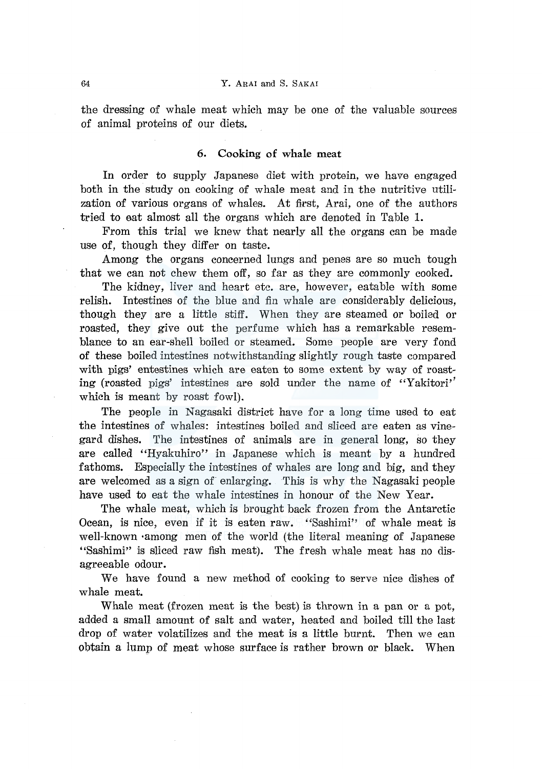the dressing of whale meat which may be one of the valuable sources of animal proteins of our diets.

#### 6. Cooking of whale meat

In order to supply Japanese diet with protein, we have engaged both in the study on cooking of whale meat and in the nutritive utilization of various organs of whales. At first, Arai, one of the authors tried to eat almost all the organs which are denoted in Table 1.

From this trial we knew that nearly all the organs can be made use of, though they differ on taste.

Among the organs concerned lungs and penes are so much tough that we can not chew them off, so far as they are commonly cooked.

The kidney, liver and heart etc. are, however, eatable with some relish. Intestines of the blue and fin whale are considerably delicious, though they are a little stiff. When they are steamed or boiled or roasted, they give out the perfume which has a remarkable resemblance to an ear-shell boiled or steamed. Some people are very fond of these boiled intestines notwithstanding slightly rough taste compared with pigs' entestines which are eaten to some extent by way of roasting (roasted pigs' intestines are sold under the name of "Yakitori" which is meant by roast fowl).

The people in Nagasaki district have for a long time used to eat the intestines of whales: intestines boiled and sliced are eaten as vinegard dishes. The intestines of animals are in general long, so they are called "Hyakuhiro" in Japanese which is meant by a hundred fathoms. Especially the intestines of whales are long and big, and they are welcomed as a sign of enlarging. This is why the Nagasaki people have used to eat the whale intestines in honour of the New Year.

The whale meat, which is brought back frozen from the Antarctic Ocean, is nice, even if it is eaten raw. "Sashimi" of whale meat is well-known ·among men of the world (the literal meaning of Japanese "Sashimi" is sliced raw fish meat). The fresh whale meat has no disagreeable odour.

We have found a new method of cooking to serve nice dishes of whale meat.

Whale meat (frozen meat is the best) is thrown in a pan or a pot, added a small amount of salt and water, heated and boiled till the last drop of water volatilizes and the meat is a little burnt. Then we can obtain a lump of meat whose surface is rather brown or black. When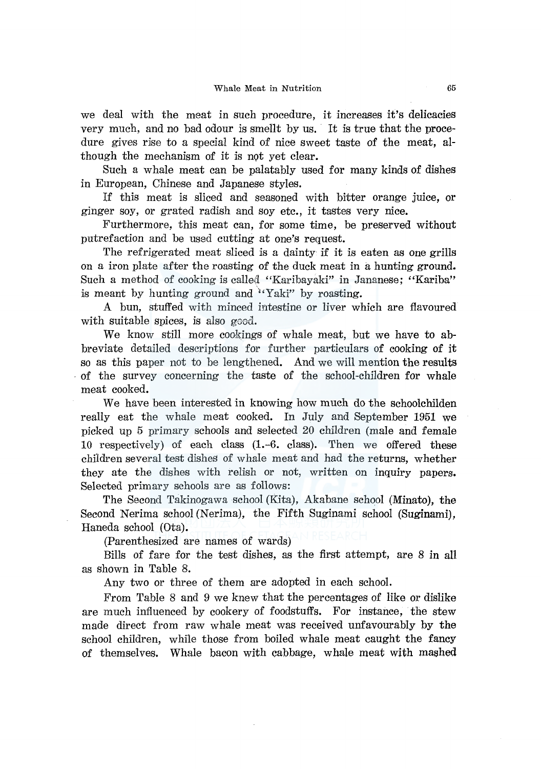we deal with the meat in such procedure, it increases it's delicacies very much, and no bad odour is smellt by us. It is true that the procedure gives rise to a special kind of nice sweet taste of the meat, although the mechanism of it is not yet clear.

Such a whale meat can be palatably used for many kinds of dishes in European, Chinese and Japanese styles.

If this meat is sliced and seasoned with bitter orange juice, or ginger soy, or grated radish and soy etc., it tastes very nice.

Furthermore, this meat can, for some time, be preserved without putrefaction and be used cutting at one's request.

The refrigerated meat sliced is a dainty if it is eaten as one grills on a iron plate after the roasting of the duck meat in a hunting ground. Such a method of cooking is called "Karibayaki" in Jananese; "Kariba" is meant by hunting ground and  $\mathbf{Y}_{ik}$  is the roasting.

A bun, stuffed with minced intestine or liver which are flavoured with suitable spices, is also good.

We know still more cookings of whale meat, but we have to abbreviate detailed descriptions for further particulars of cooking of it so as this paper not to be lengthened. And we will mention the results . of the survey concerning the taste of the school-children for whale meat cooked.

We have been interested in knowing how much do the schoolchilden really eat the whale meat cooked. In July and September 1951 we picked up 5 primary schools and selected 20 children (male and female 10 respectively) of each class (l.-6. class). Then we offered these children several test dishes of whale meat and had the returns, whether they ate the dishes with relish or not, written on inquiry papers. Selected primary schools are as follows:

The Second Takinogawa school (Kita), Akabane school (Minato), the Second Nerima school (Nerima), the Fifth Suginami school (Suginami), Haneda school (Ota).

(Parenthesized are names of wards)

Bills of fare for the test dishes, as the first attempt, are 8 in all as shown in Table 8.

Any two or three of them are adopted in each school.

From Table 8 and 9 we knew that the percentages of like or dislike are much influenced by cookery of foodstuffs. For instance, the stew made direct from raw whale meat was received unfavourably by the school children, while those from boiled whale meat caught the fancy of themselves. Whale bacon with cabbage, whale meat with mashed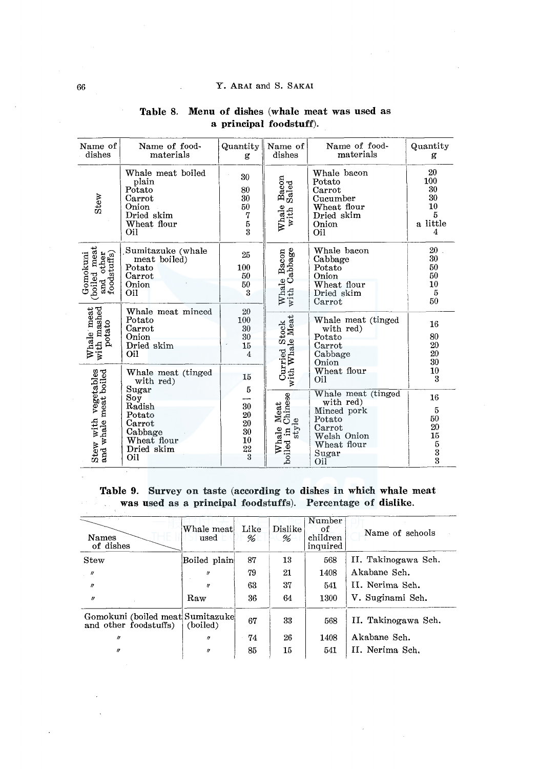#### Y. ARAI and S. SAKAI

÷.

| Name of<br>dishes                                                                                                       | Name of food-<br>materials                                                                            | Quantity<br>g                                                            | Name of<br>dishes                              | Name of food-<br>materials                                                                                       | Quantity<br>g                                      |
|-------------------------------------------------------------------------------------------------------------------------|-------------------------------------------------------------------------------------------------------|--------------------------------------------------------------------------|------------------------------------------------|------------------------------------------------------------------------------------------------------------------|----------------------------------------------------|
| Stew                                                                                                                    | Whale meat boiled<br>plain<br>Potato<br>Carrot<br>Onion<br>Dried skim<br>Wheat flour<br>Oil           | 30<br>80<br>$\overline{30}$<br>$50\,$<br>7<br>$\frac{5}{3}$              | Bacon<br>Saled<br>Whale<br>with                | Whale bacon<br>Potato<br>Carrot<br>Cucumber<br>Wheat flour<br>Dried skim<br>Onion<br>Oil                         | 20<br>100<br>30<br>30<br>10<br>5<br>a little<br>4  |
| $\begin{bmatrix} \text{boiled meat} \\ \text{and other} \\ \text{foodstuffs} \end{bmatrix}$<br>Gomokuni<br>(boiled meat | Sumitazuke (whale<br>meat boiled)<br>Potato<br>Carrot<br>Onion<br>Oil                                 | 25<br>100<br>50<br>50<br>3                                               | Whale Bacon<br>with Cabbage                    | Whale bacon<br>Cabbage<br>Potato<br>Onion<br>Wheat flour<br>Dried skim<br>Carrot                                 | 20<br>30<br>50<br>50<br>10<br>$\overline{5}$<br>50 |
| with mashed<br>Whale meat                                                                                               | Whale meat minced<br>Potato<br>Carrot<br>Onion<br>Dried skim<br>Oil                                   | 20<br>100<br>30<br>$30\,$<br>15<br>$\overline{4}$                        | Curried Stock<br>with Whale Meat               | Whale meat (tinged<br>with red)<br>Potato<br>Carrot<br>Cabbage<br>Onion                                          | 16<br>80<br>20<br>$20\,$<br>$30\,$                 |
|                                                                                                                         | Whale meat (tinged<br>with red)                                                                       | 15                                                                       |                                                | Wheat flour<br>Oil                                                                                               | 10<br>3                                            |
| Stew with vegetables<br>and whale meat boiled                                                                           | Sugar<br>$\bf So\bar{y}$<br>Radish<br>Potato<br>Carrot<br>Cabbage<br>Wheat flour<br>Dried skim<br>Oil | 5<br>30<br>${\bf 20}$<br>$\frac{20}{30}$<br>${\bf 10}$<br>$\frac{22}{3}$ | Meat<br>Chinese<br>style<br>Whale<br>boiled in | Whale meat (tinged<br>with red)<br>Minced pork<br>Potato<br>Carrot<br>Welsh Onion<br>Wheat flour<br>Sugar<br>Oil | 16<br>5<br>$50\,$<br>20<br>15<br>5<br>3<br>3       |

# Table 8. Menu of dishes (whale meat was used as a principal foodstuff).

Table 9. Survey on taste (according to dishes in which whale meat was used as a principal foodstuffs). Percentage of dislike.

| Names<br>of dishes                                         | Whale meat!<br>used | Like<br>% | Dislike<br>% | Number<br>оf<br>children<br>inquired | Name of schools     |
|------------------------------------------------------------|---------------------|-----------|--------------|--------------------------------------|---------------------|
| Stew                                                       | Boiled plain        | 87        | 13           | 568                                  | II. Takinogawa Sch. |
| $\overline{u}$                                             | $\prime$            | 79        | 21           | 1408                                 | Akabane Sch.        |
| $\boldsymbol{\eta}$                                        | $\boldsymbol{r}$    | 63        | 37           | 541                                  | II. Nerima Sch.     |
| $\boldsymbol{\theta}$                                      | Raw                 | 36        | 64           | 1300                                 | V. Suginami Sch.    |
| Gomokuni (boiled meat Sumitazuke)<br>and other foodstuffs) | (boiled)            | 67        | 33           | 568                                  | II. Takinogawa Sch. |
| $\boldsymbol{H}$                                           | $\theta$            | 74        | 26           | 1408                                 | Akabane Sch.        |
| $\theta$                                                   | $\theta$            | 85        | 15           | 541                                  | II. Nerima Sch.     |

 $\bar{z}$